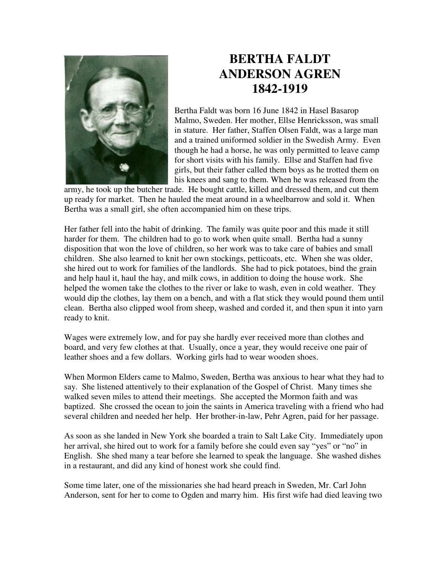

## **BERTHA FALDT ANDERSON AGREN 1842-1919**

Bertha Faldt was born 16 June 1842 in Hasel Basarop Malmo, Sweden. Her mother, Ellse Henricksson, was small in stature. Her father, Staffen Olsen Faldt, was a large man and a trained uniformed soldier in the Swedish Army. Even though he had a horse, he was only permitted to leave camp for short visits with his family. Ellse and Staffen had five girls, but their father called them boys as he trotted them on his knees and sang to them. When he was released from the

army, he took up the butcher trade. He bought cattle, killed and dressed them, and cut them up ready for market. Then he hauled the meat around in a wheelbarrow and sold it. When Bertha was a small girl, she often accompanied him on these trips.

Her father fell into the habit of drinking. The family was quite poor and this made it still harder for them. The children had to go to work when quite small. Bertha had a sunny disposition that won the love of children, so her work was to take care of babies and small children. She also learned to knit her own stockings, petticoats, etc. When she was older, she hired out to work for families of the landlords. She had to pick potatoes, bind the grain and help haul it, haul the hay, and milk cows, in addition to doing the house work. She helped the women take the clothes to the river or lake to wash, even in cold weather. They would dip the clothes, lay them on a bench, and with a flat stick they would pound them until clean. Bertha also clipped wool from sheep, washed and corded it, and then spun it into yarn ready to knit.

Wages were extremely low, and for pay she hardly ever received more than clothes and board, and very few clothes at that. Usually, once a year, they would receive one pair of leather shoes and a few dollars. Working girls had to wear wooden shoes.

When Mormon Elders came to Malmo, Sweden, Bertha was anxious to hear what they had to say. She listened attentively to their explanation of the Gospel of Christ. Many times she walked seven miles to attend their meetings. She accepted the Mormon faith and was baptized. She crossed the ocean to join the saints in America traveling with a friend who had several children and needed her help. Her brother-in-law, Pehr Agren, paid for her passage.

As soon as she landed in New York she boarded a train to Salt Lake City. Immediately upon her arrival, she hired out to work for a family before she could even say "yes" or "no" in English. She shed many a tear before she learned to speak the language. She washed dishes in a restaurant, and did any kind of honest work she could find.

Some time later, one of the missionaries she had heard preach in Sweden, Mr. Carl John Anderson, sent for her to come to Ogden and marry him. His first wife had died leaving two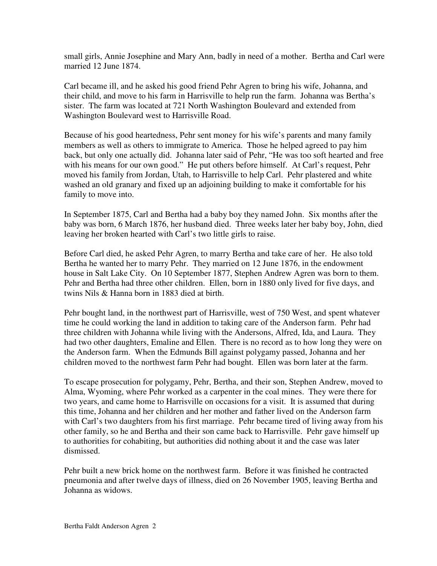small girls, Annie Josephine and Mary Ann, badly in need of a mother. Bertha and Carl were married 12 June 1874.

Carl became ill, and he asked his good friend Pehr Agren to bring his wife, Johanna, and their child, and move to his farm in Harrisville to help run the farm. Johanna was Bertha's sister. The farm was located at 721 North Washington Boulevard and extended from Washington Boulevard west to Harrisville Road.

Because of his good heartedness, Pehr sent money for his wife's parents and many family members as well as others to immigrate to America. Those he helped agreed to pay him back, but only one actually did. Johanna later said of Pehr, "He was too soft hearted and free with his means for our own good." He put others before himself. At Carl's request, Pehr moved his family from Jordan, Utah, to Harrisville to help Carl. Pehr plastered and white washed an old granary and fixed up an adjoining building to make it comfortable for his family to move into.

In September 1875, Carl and Bertha had a baby boy they named John. Six months after the baby was born, 6 March 1876, her husband died. Three weeks later her baby boy, John, died leaving her broken hearted with Carl's two little girls to raise.

Before Carl died, he asked Pehr Agren, to marry Bertha and take care of her. He also told Bertha he wanted her to marry Pehr. They married on 12 June 1876, in the endowment house in Salt Lake City. On 10 September 1877, Stephen Andrew Agren was born to them. Pehr and Bertha had three other children. Ellen, born in 1880 only lived for five days, and twins Nils & Hanna born in 1883 died at birth.

Pehr bought land, in the northwest part of Harrisville, west of 750 West, and spent whatever time he could working the land in addition to taking care of the Anderson farm. Pehr had three children with Johanna while living with the Andersons, Alfred, Ida, and Laura. They had two other daughters, Emaline and Ellen. There is no record as to how long they were on the Anderson farm. When the Edmunds Bill against polygamy passed, Johanna and her children moved to the northwest farm Pehr had bought. Ellen was born later at the farm.

To escape prosecution for polygamy, Pehr, Bertha, and their son, Stephen Andrew, moved to Alma, Wyoming, where Pehr worked as a carpenter in the coal mines. They were there for two years, and came home to Harrisville on occasions for a visit. It is assumed that during this time, Johanna and her children and her mother and father lived on the Anderson farm with Carl's two daughters from his first marriage. Pehr became tired of living away from his other family, so he and Bertha and their son came back to Harrisville. Pehr gave himself up to authorities for cohabiting, but authorities did nothing about it and the case was later dismissed.

Pehr built a new brick home on the northwest farm. Before it was finished he contracted pneumonia and after twelve days of illness, died on 26 November 1905, leaving Bertha and Johanna as widows.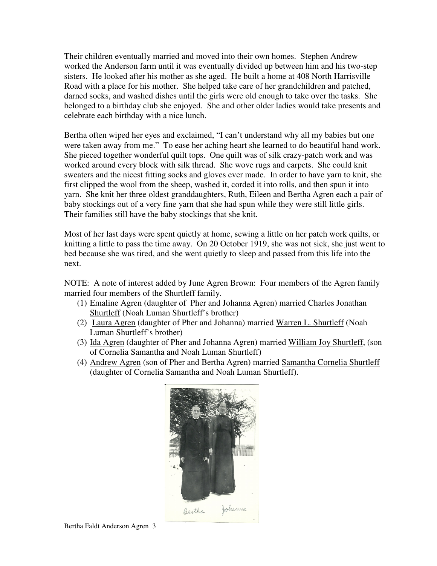Their children eventually married and moved into their own homes. Stephen Andrew worked the Anderson farm until it was eventually divided up between him and his two-step sisters. He looked after his mother as she aged. He built a home at 408 North Harrisville Road with a place for his mother. She helped take care of her grandchildren and patched, darned socks, and washed dishes until the girls were old enough to take over the tasks. She belonged to a birthday club she enjoyed. She and other older ladies would take presents and celebrate each birthday with a nice lunch.

Bertha often wiped her eyes and exclaimed, "I can't understand why all my babies but one were taken away from me." To ease her aching heart she learned to do beautiful hand work. She pieced together wonderful quilt tops. One quilt was of silk crazy-patch work and was worked around every block with silk thread. She wove rugs and carpets. She could knit sweaters and the nicest fitting socks and gloves ever made. In order to have yarn to knit, she first clipped the wool from the sheep, washed it, corded it into rolls, and then spun it into yarn. She knit her three oldest granddaughters, Ruth, Eileen and Bertha Agren each a pair of baby stockings out of a very fine yarn that she had spun while they were still little girls. Their families still have the baby stockings that she knit.

Most of her last days were spent quietly at home, sewing a little on her patch work quilts, or knitting a little to pass the time away. On 20 October 1919, she was not sick, she just went to bed because she was tired, and she went quietly to sleep and passed from this life into the next.

NOTE: A note of interest added by June Agren Brown: Four members of the Agren family married four members of the Shurtleff family.

- (1) Emaline Agren (daughter of Pher and Johanna Agren) married Charles Jonathan Shurtleff (Noah Luman Shurtleff's brother)
- (2) Laura Agren (daughter of Pher and Johanna) married Warren L. Shurtleff (Noah Luman Shurtleff's brother)
- (3) Ida Agren (daughter of Pher and Johanna Agren) married William Joy Shurtleff, (son of Cornelia Samantha and Noah Luman Shurtleff)
- (4) Andrew Agren (son of Pher and Bertha Agren) married Samantha Cornelia Shurtleff (daughter of Cornelia Samantha and Noah Luman Shurtleff).